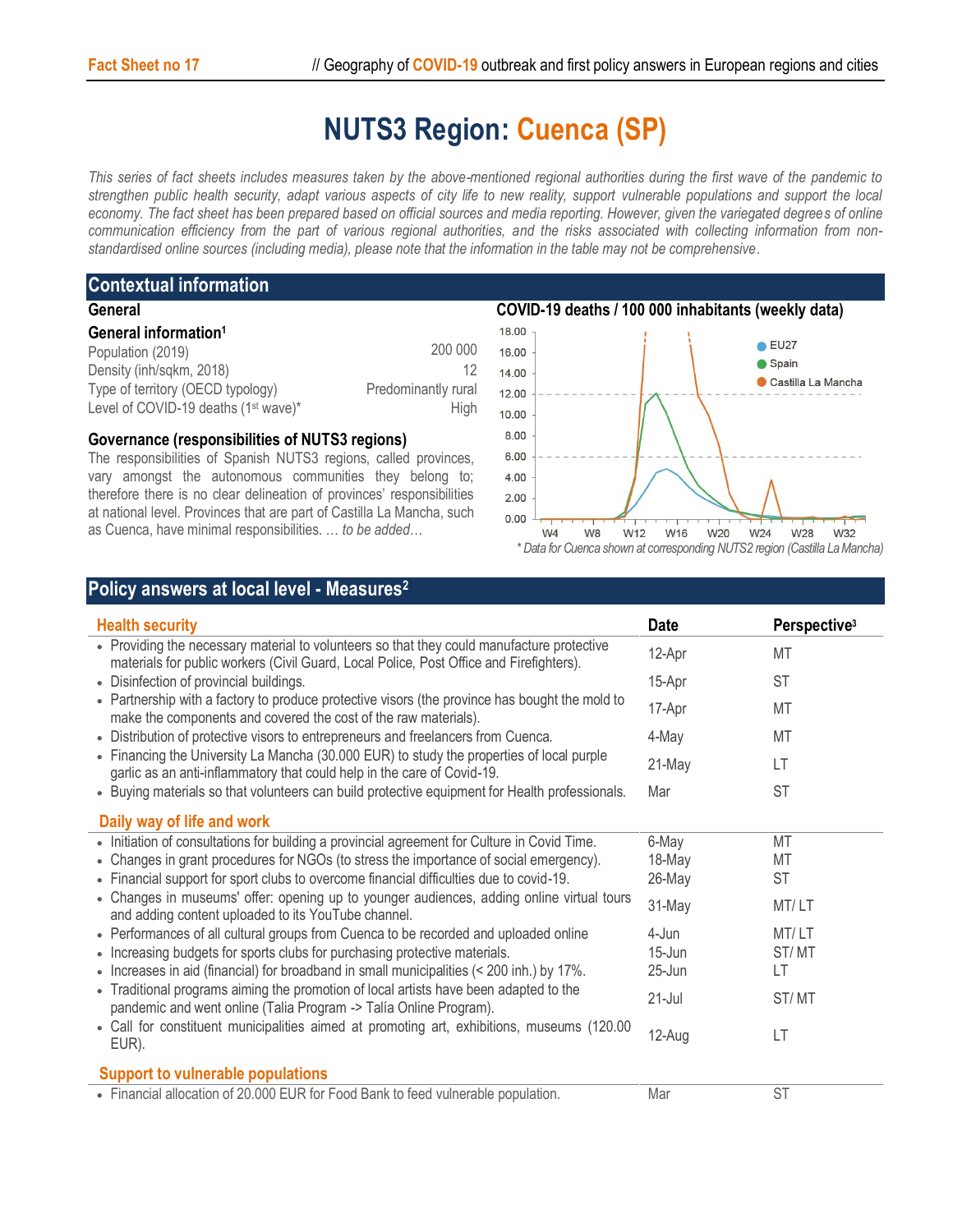# **NUTS3 Region: Cuenca (SP)**

*This series of fact sheets includes measures taken by the above-mentioned regional authorities during the first wave of the pandemic to strengthen public health security, adapt various aspects of city life to new reality, support vulnerable populations and support the local economy. The fact sheet has been prepared based on official sources and media reporting. However, given the variegated degrees of online communication efficiency from the part of various regional authorities, and the risks associated with collecting information from nonstandardised online sources (including media), please note that the information in the table may not be comprehensive*.

### **Contextual information General**

| <b>PELIEI AL</b>                                 |                     |
|--------------------------------------------------|---------------------|
| General information <sup>1</sup>                 |                     |
| Population (2019)                                | 200 000             |
| Density (inh/sqkm, 2018)                         | 12                  |
| Type of territory (OECD typology)                | Predominantly rural |
| Level of COVID-19 deaths (1 <sup>st</sup> wave)* | Hiah                |

## **Governance (responsibilities of NUTS3 regions)**

The responsibilities of Spanish NUTS3 regions, called provinces, vary amongst the autonomous communities they belong to; therefore there is no clear delineation of provinces' responsibilities at national level. Provinces that are part of Castilla La Mancha, such as Cuenca, have minimal responsibilities. … *to be added*…



## **Policy answers at local level - Measures<sup>2</sup>**

| <b>Health security</b>                                                                                                                                                                                                                                            | <b>Date</b> | Perspective <sup>3</sup> |
|-------------------------------------------------------------------------------------------------------------------------------------------------------------------------------------------------------------------------------------------------------------------|-------------|--------------------------|
| • Providing the necessary material to volunteers so that they could manufacture protective<br>materials for public workers (Civil Guard, Local Police, Post Office and Firefighters).                                                                             | 12-Apr      | MT                       |
| • Disinfection of provincial buildings.                                                                                                                                                                                                                           | 15-Apr      | <b>ST</b>                |
| • Partnership with a factory to produce protective visors (the province has bought the mold to<br>make the components and covered the cost of the raw materials).                                                                                                 | 17-Apr      | MT                       |
| • Distribution of protective visors to entrepreneurs and freelancers from Cuenca.                                                                                                                                                                                 | 4-May       | MT                       |
| • Financing the University La Mancha (30.000 EUR) to study the properties of local purple<br>garlic as an anti-inflammatory that could help in the care of Covid-19.                                                                                              | 21-May      | LT                       |
| • Buying materials so that volunteers can build protective equipment for Health professionals.                                                                                                                                                                    | Mar         | <b>ST</b>                |
| Daily way of life and work                                                                                                                                                                                                                                        |             |                          |
| • Initiation of consultations for building a provincial agreement for Culture in Covid Time.                                                                                                                                                                      | 6-May       | <b>MT</b>                |
| • Changes in grant procedures for NGOs (to stress the importance of social emergency).                                                                                                                                                                            | 18-May      | MT                       |
| • Financial support for sport clubs to overcome financial difficulties due to covid-19.                                                                                                                                                                           | 26-May      | <b>ST</b>                |
| • Changes in museums' offer: opening up to younger audiences, adding online virtual tours<br>and adding content uploaded to its YouTube channel.                                                                                                                  | 31-May      | MT/LT                    |
| • Performances of all cultural groups from Cuenca to be recorded and uploaded online                                                                                                                                                                              | 4-Jun       | MT/LT                    |
| • Increasing budgets for sports clubs for purchasing protective materials.                                                                                                                                                                                        | 15-Jun      | ST/MT                    |
| • Increases in aid (financial) for broadband in small municipalities (< 200 inh.) by 17%.                                                                                                                                                                         | 25-Jun      | LT                       |
| • Traditional programs aiming the promotion of local artists have been adapted to the<br>pandemic and went online (Talia Program -> Talía Online Program).<br>• Call for constituent municipalities aimed at promoting art, exhibitions, museums (120.00<br>EUR). | $21 -$ Jul  | ST/MT                    |
|                                                                                                                                                                                                                                                                   | 12-Aug      | LT                       |
| <b>Support to vulnerable populations</b>                                                                                                                                                                                                                          |             |                          |
| • Financial allocation of 20.000 EUR for Food Bank to feed vulnerable population.                                                                                                                                                                                 | Mar         | <b>ST</b>                |